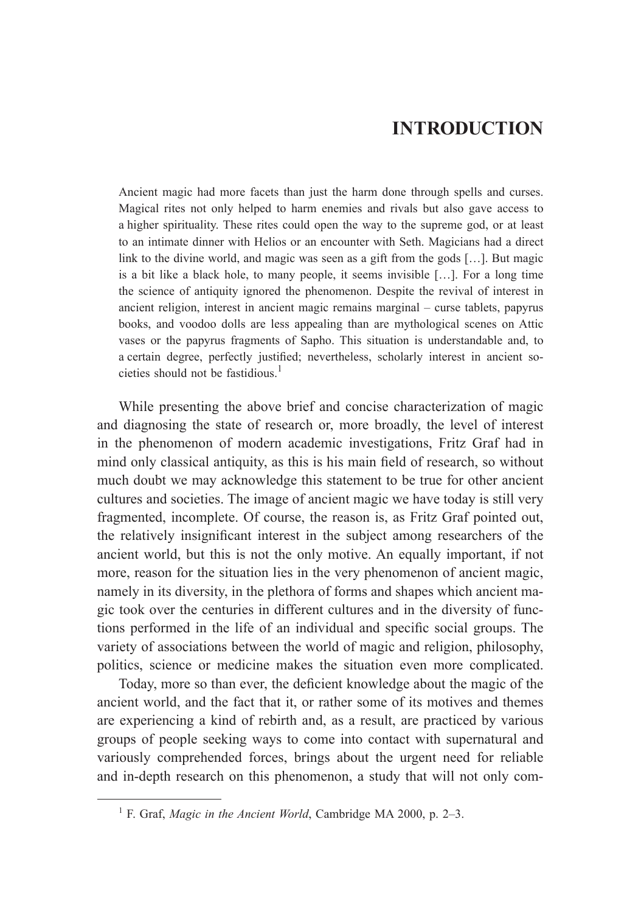## **INTRODUCTION**

Ancient magic had more facets than just the harm done through spells and curses. Magical rites not only helped to harm enemies and rivals but also gave access to a higher spirituality. These rites could open the way to the supreme god, or at least to an intimate dinner with Helios or an encounter with Seth. Magicians had a direct link to the divine world, and magic was seen as a gift from the gods […]. But magic is a bit like a black hole, to many people, it seems invisible […]. For a long time the science of antiquity ignored the phenomenon. Despite the revival of interest in ancient religion, interest in ancient magic remains marginal – curse tablets, papyrus books, and voodoo dolls are less appealing than are mythological scenes on Attic vases or the papyrus fragments of Sapho. This situation is understandable and, to a certain degree, perfectly justified; nevertheless, scholarly interest in ancient societies should not be fastidious.<sup>1</sup>

While presenting the above brief and concise characterization of magic and diagnosing the state of research or, more broadly, the level of interest in the phenomenon of modern academic investigations, Fritz Graf had in mind only classical antiquity, as this is his main field of research, so without much doubt we may acknowledge this statement to be true for other ancient cultures and societies. The image of ancient magic we have today is still very fragmented, incomplete. Of course, the reason is, as Fritz Graf pointed out, the relatively insignificant interest in the subject among researchers of the ancient world, but this is not the only motive. An equally important, if not more, reason for the situation lies in the very phenomenon of ancient magic, namely in its diversity, in the plethora of forms and shapes which ancient magic took over the centuries in different cultures and in the diversity of functions performed in the life of an individual and specific social groups. The variety of associations between the world of magic and religion, philosophy, politics, science or medicine makes the situation even more complicated.

Today, more so than ever, the deficient knowledge about the magic of the ancient world, and the fact that it, or rather some of its motives and themes are experiencing a kind of rebirth and, as a result, are practiced by various groups of people seeking ways to come into contact with supernatural and variously comprehended forces, brings about the urgent need for reliable and in-depth research on this phenomenon, a study that will not only com-

<sup>1</sup> F. Graf, *Magic in the Ancient World*, Cambridge MA 2000, p. 2–3.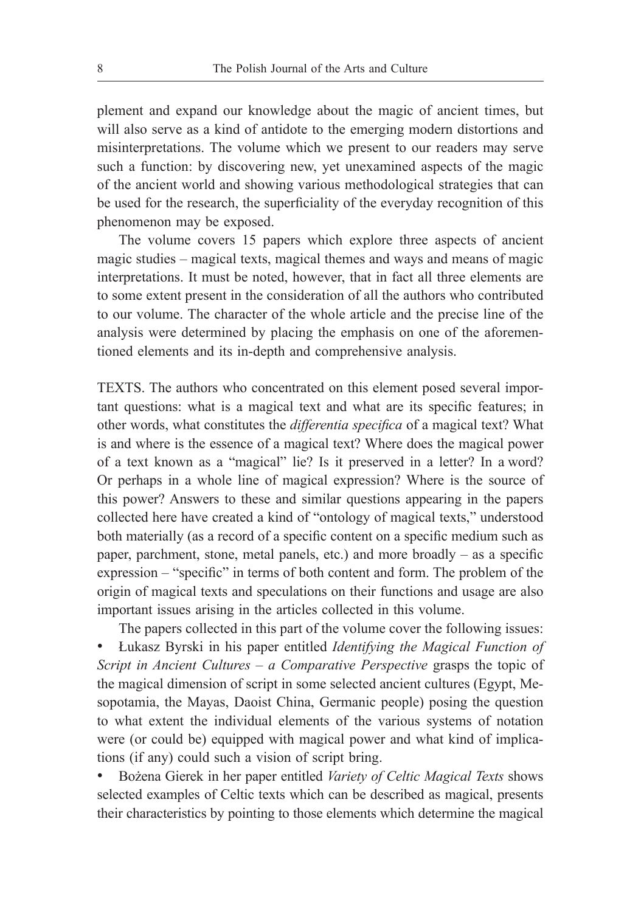plement and expand our knowledge about the magic of ancient times, but will also serve as a kind of antidote to the emerging modern distortions and misinterpretations. The volume which we present to our readers may serve such a function: by discovering new, yet unexamined aspects of the magic of the ancient world and showing various methodological strategies that can be used for the research, the superficiality of the everyday recognition of this phenomenon may be exposed.

The volume covers 15 papers which explore three aspects of ancient magic studies – magical texts, magical themes and ways and means of magic interpretations. It must be noted, however, that in fact all three elements are to some extent present in the consideration of all the authors who contributed to our volume. The character of the whole article and the precise line of the analysis were determined by placing the emphasis on one of the aforementioned elements and its in-depth and comprehensive analysis.

TEXTS. The authors who concentrated on this element posed several important questions: what is a magical text and what are its specific features; in other words, what constitutes the *differentia specifica* of a magical text? What is and where is the essence of a magical text? Where does the magical power of a text known as a "magical" lie? Is it preserved in a letter? In a word? Or perhaps in a whole line of magical expression? Where is the source of this power? Answers to these and similar questions appearing in the papers collected here have created a kind of "ontology of magical texts," understood both materially (as a record of a specific content on a specific medium such as paper, parchment, stone, metal panels, etc.) and more broadly – as a specific expression – "specific" in terms of both content and form. The problem of the origin of magical texts and speculations on their functions and usage are also important issues arising in the articles collected in this volume.

The papers collected in this part of the volume cover the following issues: • Łukasz Byrski in his paper entitled *Identifying the Magical Function of Script in Ancient Cultures – a Comparative Perspective grasps the topic of* the magical dimension of script in some selected ancient cultures (Egypt, Mesopotamia, the Mayas, Daoist China, Germanic people) posing the question to what extent the individual elements of the various systems of notation were (or could be) equipped with magical power and what kind of implications (if any) could such a vision of script bring.

• Bożena Gierek in her paper entitled *Variety of Celtic Magical Texts* shows selected examples of Celtic texts which can be described as magical, presents their characteristics by pointing to those elements which determine the magical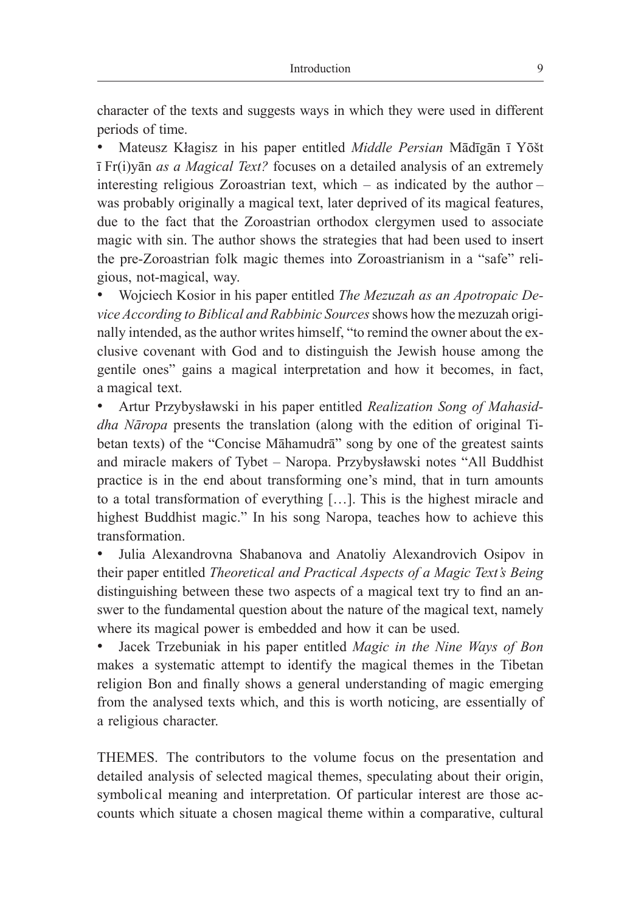character of the texts and suggests ways in which they were used in different periods of time.

• Mateusz Kłagisz in his paper entitled *Middle Persian* Mādīgān ī Yōšt ī Fr(i)yān *as a Magical Text?* focuses on a detailed analysis of an extremely interesting religious Zoroastrian text, which – as indicated by the author – was probably originally a magical text, later deprived of its magical features, due to the fact that the Zoroastrian orthodox clergymen used to associate magic with sin. The author shows the strategies that had been used to insert the pre-Zoroastrian folk magic themes into Zoroastrianism in a "safe" religious, not-magical, way.

• Wojciech Kosior in his paper entitled *The Mezuzah as an Apotropaic Device According to Biblical and Rabbinic Sources* shows how the mezuzah originally intended, as the author writes himself, "to remind the owner about the exclusive covenant with God and to distinguish the Jewish house among the gentile ones" gains a magical interpretation and how it becomes, in fact, a magical text.

• Artur Przybysławski in his paper entitled *Realization Song of Mahasiddha Nāropa* presents the translation (along with the edition of original Tibetan texts) of the "Concise Māhamudrā" song by one of the greatest saints and miracle makers of Tybet – Naropa. Przybysławski notes "All Buddhist practice is in the end about transforming one's mind, that in turn amounts to a total transformation of everything […]. This is the highest miracle and highest Buddhist magic." In his song Naropa, teaches how to achieve this transformation.

• Julia Alexandrovna Shabanova and Anatoliy Alexandrovich Osipov in their paper entitled *Theoretical and Practical Aspects of a Magic Text's Being* distinguishing between these two aspects of a magical text try to find an answer to the fundamental question about the nature of the magical text, namely where its magical power is embedded and how it can be used.

• Jacek Trzebuniak in his paper entitled *Magic in the Nine Ways of Bon* makes a systematic attempt to identify the magical themes in the Tibetan religion Bon and finally shows a general understanding of magic emerging from the analysed texts which, and this is worth noticing, are essentially of a religious character.

THEMES. The contributors to the volume focus on the presentation and detailed analysis of selected magical themes, speculating about their origin, symbolical meaning and interpretation. Of particular interest are those accounts which situate a chosen magical theme within a comparative, cultural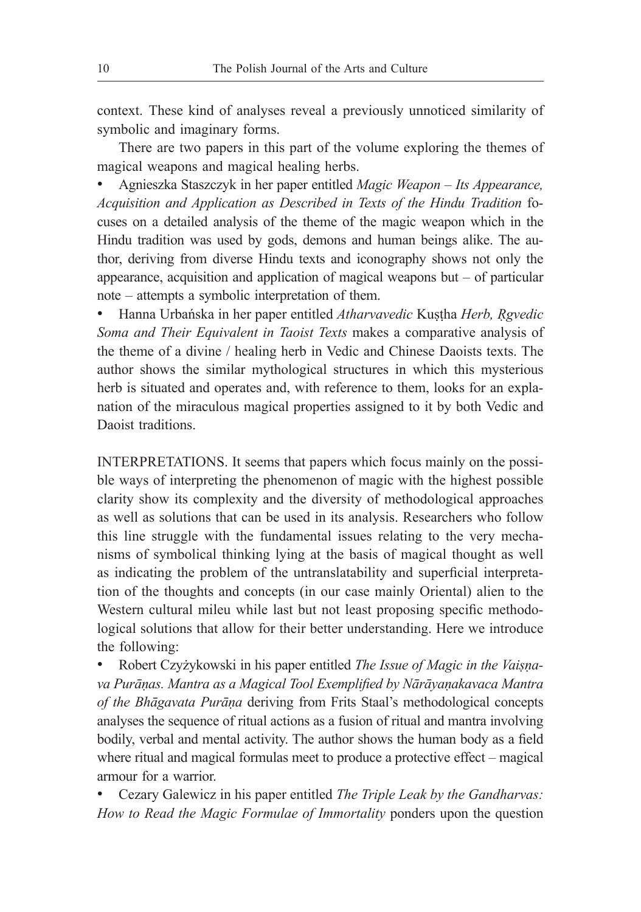context. These kind of analyses reveal a previously unnoticed similarity of symbolic and imaginary forms.

There are two papers in this part of the volume exploring the themes of magical weapons and magical healing herbs.

• Agnieszka Staszczyk in her paper entitled *Magic Weapon – Its Appearance, Acquisition and Application as Described in Texts of the Hindu Tradition* focuses on a detailed analysis of the theme of the magic weapon which in the Hindu tradition was used by gods, demons and human beings alike. The author, deriving from diverse Hindu texts and iconography shows not only the appearance, acquisition and application of magical weapons but – of particular note – attempts a symbolic interpretation of them.

• Hanna Urbańska in her paper entitled *Atharvavedic* Kuṣṭha *Herb, Ṛgvedic Soma and Their Equivalent in Taoist Texts* makes a comparative analysis of the theme of a divine / healing herb in Vedic and Chinese Daoists texts. The author shows the similar mythological structures in which this mysterious herb is situated and operates and, with reference to them, looks for an explanation of the miraculous magical properties assigned to it by both Vedic and Daoist traditions.

INTERPRETATIONS. It seems that papers which focus mainly on the possible ways of interpreting the phenomenon of magic with the highest possible clarity show its complexity and the diversity of methodological approaches as well as solutions that can be used in its analysis. Researchers who follow this line struggle with the fundamental issues relating to the very mechanisms of symbolical thinking lying at the basis of magical thought as well as indicating the problem of the untranslatability and superficial interpretation of the thoughts and concepts (in our case mainly Oriental) alien to the Western cultural mileu while last but not least proposing specific methodological solutions that allow for their better understanding. Here we introduce the following:

• Robert Czyżykowski in his paper entitled *The Issue of Magic in the Vaiṣṇava Purāṇas. Mantra as a Magical Tool Exemplified by Nārāyaṇakavaca Mantra of the Bhāgavata Purāṇa* deriving from Frits Staal's methodological concepts analyses the sequence of ritual actions as a fusion of ritual and mantra involving bodily, verbal and mental activity. The author shows the human body as a field where ritual and magical formulas meet to produce a protective effect – magical armour for a warrior.

• Cezary Galewicz in his paper entitled *The Triple Leak by the Gandharvas: How to Read the Magic Formulae of Immortality* ponders upon the question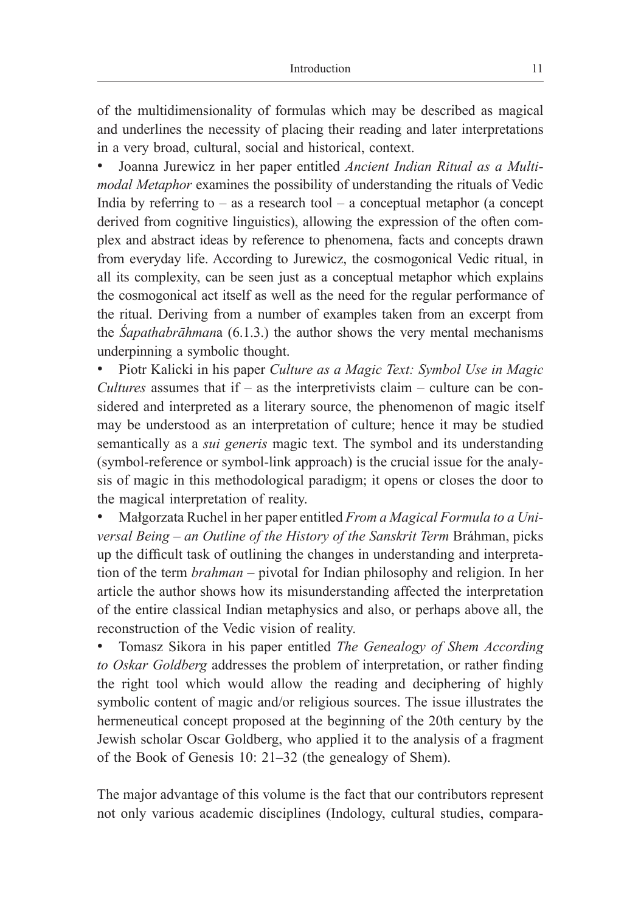of the multidimensionality of formulas which may be described as magical and underlines the necessity of placing their reading and later interpretations in a very broad, cultural, social and historical, context.

• Joanna Jurewicz in her paper entitled *Ancient Indian Ritual as a Multimodal Metaphor* examines the possibility of understanding the rituals of Vedic India by referring to  $-$  as a research tool  $-$  a conceptual metaphor (a concept derived from cognitive linguistics), allowing the expression of the often complex and abstract ideas by reference to phenomena, facts and concepts drawn from everyday life. According to Jurewicz, the cosmogonical Vedic ritual, in all its complexity, can be seen just as a conceptual metaphor which explains the cosmogonical act itself as well as the need for the regular performance of the ritual. Deriving from a number of examples taken from an excerpt from the *Śapathabrāhman*a (6.1.3.) the author shows the very mental mechanisms underpinning a symbolic thought.

• Piotr Kalicki in his paper *Culture as a Magic Text: Symbol Use in Magic Cultures* assumes that if – as the interpretivists claim – culture can be considered and interpreted as a literary source, the phenomenon of magic itself may be understood as an interpretation of culture; hence it may be studied semantically as a *sui generis* magic text. The symbol and its understanding (symbol-reference or symbol-link approach) is the crucial issue for the analysis of magic in this methodological paradigm; it opens or closes the door to the magical interpretation of reality.

• Małgorzata Ruchel in her paper entitled *From a Magical Formula to a Universal Being – an Outline of the History of the Sanskrit Term* Bráhman, picks up the difficult task of outlining the changes in understanding and interpretation of the term *brahman –* pivotal for Indian philosophy and religion. In her article the author shows how its misunderstanding affected the interpretation of the entire classical Indian metaphysics and also, or perhaps above all, the reconstruction of the Vedic vision of reality.

• Tomasz Sikora in his paper entitled *The Genealogy of Shem According to Oskar Goldberg* addresses the problem of interpretation, or rather finding the right tool which would allow the reading and deciphering of highly symbolic content of magic and/or religious sources. The issue illustrates the hermeneutical concept proposed at the beginning of the 20th century by the Jewish scholar Oscar Goldberg, who applied it to the analysis of a fragment of the Book of Genesis 10: 21–32 (the genealogy of Shem).

The major advantage of this volume is the fact that our contributors represent not only various academic disciplines (Indology, cultural studies, compara